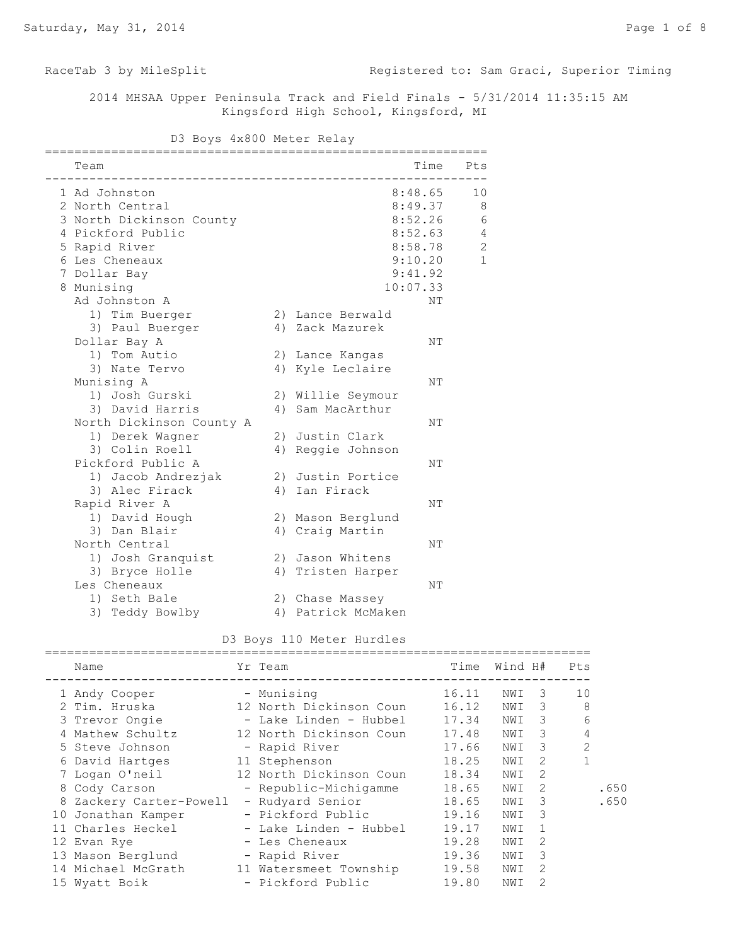RaceTab 3 by MileSplit **Registered to: Sam Graci, Superior Timing** 

 2014 MHSAA Upper Peninsula Track and Field Finals - 5/31/2014 11:35:15 AM Kingsford High School, Kingsford, MI

D3 Boys 4x800 Meter Relay

| Team                     |                    | Time Pts |              |
|--------------------------|--------------------|----------|--------------|
| 1 Ad Johnston            | 8:48.65            | 10       |              |
| 2 North Central          | 8:49.37            |          | 8            |
| 3 North Dickinson County | 8:52.26            |          | $\epsilon$   |
| 4 Pickford Public        | 8:52.63            |          | 4            |
| 5 Rapid River            | 8:58.78            |          | $\sqrt{2}$   |
| 6 Les Cheneaux           | 9:10.20            |          | $\mathbf{1}$ |
| 7 Dollar Bay             | 9:41.92            |          |              |
| 8 Munising               | 10:07.33           |          |              |
| Ad Johnston A            |                    | NΤ       |              |
| 1) Tim Buerger           | 2) Lance Berwald   |          |              |
| 3) Paul Buerger          | 4) Zack Mazurek    |          |              |
| Dollar Bay A             |                    | NΤ       |              |
| 1) Tom Autio             | 2) Lance Kangas    |          |              |
| 3) Nate Tervo            | 4) Kyle Leclaire   |          |              |
| Munising A               |                    | NΤ       |              |
| 1) Josh Gurski           | 2) Willie Seymour  |          |              |
| 3) David Harris          | 4) Sam MacArthur   |          |              |
| North Dickinson County A |                    | NΤ       |              |
| 1) Derek Wagner          | 2) Justin Clark    |          |              |
| 3) Colin Roell           | 4) Reggie Johnson  |          |              |
| Pickford Public A        |                    | NΤ       |              |
| 1) Jacob Andrezjak       | 2) Justin Portice  |          |              |
| 3) Alec Firack           | 4) Ian Firack      |          |              |
| Rapid River A            |                    | NΤ       |              |
| 1) David Hough           | 2) Mason Berglund  |          |              |
| 3) Dan Blair             | 4) Craig Martin    |          |              |
| North Central            |                    | ΝT       |              |
| 1) Josh Granquist        | 2) Jason Whitens   |          |              |
| 3) Bryce Holle           | 4) Tristen Harper  |          |              |
| Les Cheneaux             |                    | NΤ       |              |
| 1) Seth Bale             | 2) Chase Massey    |          |              |
| 3) Teddy Bowlby          | 4) Patrick McMaken |          |              |

|  |  | D3 Boys 110 Meter Hurdles |
|--|--|---------------------------|

| Name                    | Yr Team                 | Time  | Wind H# |               | Pts            |
|-------------------------|-------------------------|-------|---------|---------------|----------------|
| 1 Andy Cooper           | - Munising              | 16.11 | NWI     | 3             | 10             |
| 2 Tim. Hruska           | 12 North Dickinson Coun | 16.12 | NWI     | 3             | 8              |
| 3 Trevor Ongie          | - Lake Linden - Hubbel  | 17.34 | NWI     | 3             | 6              |
| 4 Mathew Schultz        | 12 North Dickinson Coun | 17.48 | NWI     | 3             | $\overline{4}$ |
| 5 Steve Johnson         | - Rapid River           | 17.66 | NWI     | 3             | $\overline{2}$ |
| 6 David Hartges         | 11 Stephenson           | 18.25 | NWI     | $\mathcal{L}$ |                |
| 7 Logan O'neil          | 12 North Dickinson Coun | 18.34 | NWI     | 2             |                |
| 8 Cody Carson           | - Republic-Michigamme   | 18.65 | NWI     | 2             | .650           |
| 8 Zackery Carter-Powell | - Rudyard Senior        | 18.65 | NWI     | 3             | .650           |
| 10 Jonathan Kamper      | - Pickford Public       | 19.16 | NWI     | 3             |                |
| 11 Charles Heckel       | - Lake Linden - Hubbel  | 19.17 | NWI     | $\mathbf{1}$  |                |
| 12 Evan Rye             | - Les Cheneaux          | 19.28 | NWI     | $\mathcal{L}$ |                |
| 13 Mason Berglund       | - Rapid River           | 19.36 | NWI     | 3             |                |
| 14 Michael McGrath      | 11 Watersmeet Township  | 19.58 | NWI     | 2             |                |
| 15 Wyatt Boik           | - Pickford Public       | 19.80 | NWI     | 2             |                |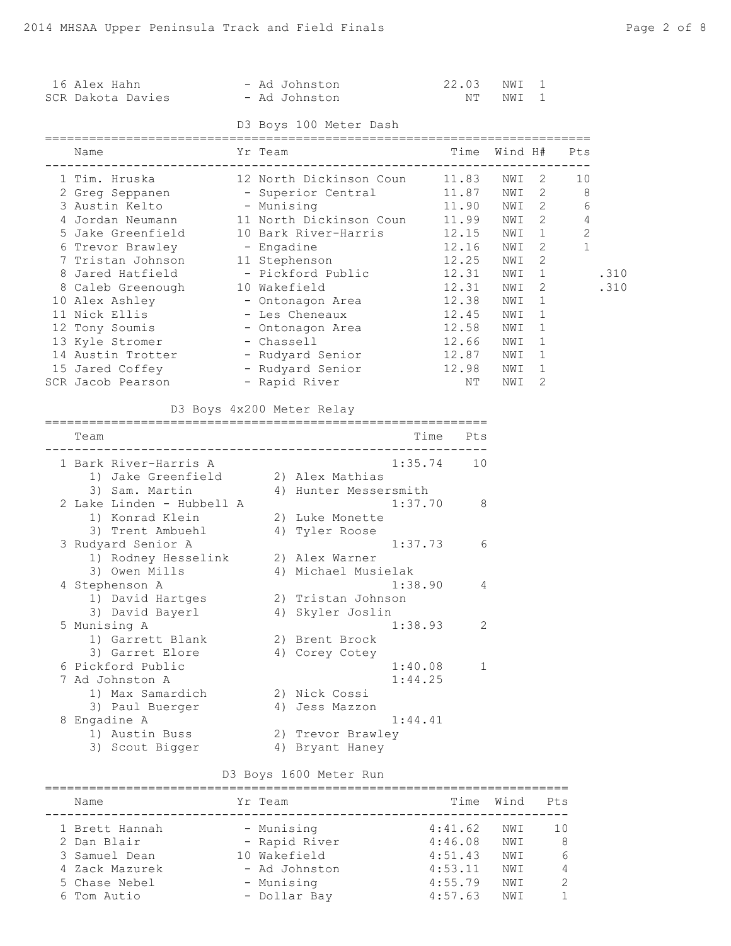| 16 Alex Hahn<br>SCR Dakota Davies                               |            | - Ad Johnston<br>- Ad Johnston |         | 22.03                               | NWI<br>NT NWI | 1<br>1                         |              |      |
|-----------------------------------------------------------------|------------|--------------------------------|---------|-------------------------------------|---------------|--------------------------------|--------------|------|
|                                                                 |            | D3 Boys 100 Meter Dash         |         |                                     |               |                                |              |      |
| Name                                                            | Yr Team    |                                |         | Time                                |               | Wind H#                        | Pts          |      |
|                                                                 |            |                                |         |                                     |               |                                | 10           |      |
|                                                                 |            |                                |         |                                     |               |                                | 8            |      |
|                                                                 |            |                                |         |                                     |               |                                | 6            |      |
| 4 Jordan Neumann 11 North Dickinson Coun 11.99 NWI 2            |            |                                |         |                                     |               |                                | 4            |      |
| 5 Jake Greenfield 10 Bark River-Harris 12.15 NWI 1              |            |                                |         |                                     |               |                                | $\mathbf{2}$ |      |
| 6 Trevor Brawley - Engadine                                     |            |                                |         | 12.16 NWI                           |               | $2 \left( \frac{1}{2} \right)$ | $\mathbf{1}$ |      |
| 7 Tristan Johnson 11 Stephenson                                 |            |                                |         | 12.25                               | NWI           | $\overline{2}$                 |              |      |
| 8 Jared Hatfield                                                |            | - Pickford Public 12.31 NWI    |         |                                     |               | $\mathbf{1}$                   |              | .310 |
| 8 Caleb Greenough 10 Wakefield                                  |            |                                |         | 12.31 NWI<br>12.38 NWI<br>12.45 NWI | NWI           | $\mathbf{2}^{\prime}$          |              | .310 |
| 10 Alex Ashley - Ontonagon Area<br>11 Nick Ellis - Les Cheneaux |            |                                |         |                                     |               | 1                              |              |      |
|                                                                 |            |                                |         |                                     |               | 1                              |              |      |
| 12 Tony Soumis                                                  |            | - Ontonagon Area               |         | 12.58 NWI                           |               | 1                              |              |      |
| 13 Kyle Stromer - Chassell                                      |            |                                |         | 12.66 NWI                           |               | 1                              |              |      |
| 14 Austin Trotter - Rudyard Senior 12.87 NWI                    |            |                                |         |                                     |               | 1                              |              |      |
| 15 Jared Coffey - Rudyard Senior 12.98 NWI                      |            |                                |         |                                     |               | 1                              |              |      |
| SCR Jacob Pearson - Rapid River                                 |            |                                |         | NT l                                | NWI           | 2                              |              |      |
|                                                                 |            | D3 Boys 4x200 Meter Relay      |         |                                     |               |                                |              |      |
|                                                                 |            |                                |         |                                     |               |                                |              |      |
| Team                                                            |            |                                |         | Time Pts                            |               |                                |              |      |
| 1 Bark River-Harris A                                           |            |                                |         | $1:35.74$ 10                        |               |                                |              |      |
| 1) Jake Greenfield 2) Alex Mathias                              |            |                                |         |                                     |               |                                |              |      |
| 3) Sam. Martin (4) Hunter Messersmith                           |            |                                |         |                                     |               |                                |              |      |
| 2 Lake Linden - Hubbell A                                       |            |                                | 1:37.70 | 8                                   |               |                                |              |      |
| 1) Konrad Klein                                                 |            | 2) Luke Monette                |         |                                     |               |                                |              |      |
| 3) Trent Ambuehl (4) Tyler Roose                                |            |                                |         |                                     |               |                                |              |      |
| 3 Rudyard Senior A                                              |            |                                | 1:37.73 | 6                                   |               |                                |              |      |
| 1) Rodney Hesselink<br>3) Owen Mills                            |            | 2) Alex Warner                 |         |                                     |               |                                |              |      |
|                                                                 |            | 4) Michael Musielak            |         |                                     |               |                                |              |      |
| 4 Stephenson A                                                  |            |                                | 1:38.90 | 4                                   |               |                                |              |      |
| 1) David Hartges (2) Tristan Johnson                            |            |                                |         |                                     |               |                                |              |      |
| 3) David Bayerl                                                 |            | 4) Skyler Joslin               |         |                                     |               |                                |              |      |
| 5 Munising A                                                    |            |                                | 1:38.93 | 2                                   |               |                                |              |      |
| 1) Garrett Blank                                                |            | 2) Brent Brock                 |         |                                     |               |                                |              |      |
| 3) Garret Elore                                                 |            | 4) Corey Cotey                 |         |                                     |               |                                |              |      |
| 6 Pickford Public                                               |            |                                | 1:40.08 | 1                                   |               |                                |              |      |
| 7 Ad Johnston A                                                 |            |                                | 1:44.25 |                                     |               |                                |              |      |
| 1) Max Samardich                                                |            | 2) Nick Cossi                  |         |                                     |               |                                |              |      |
| 3) Paul Buerger                                                 |            | 4) Jess Mazzon                 |         |                                     |               |                                |              |      |
| 8 Engadine A                                                    |            |                                | 1:44.41 |                                     |               |                                |              |      |
| 1) Austin Buss                                                  |            | 2) Trevor Brawley              |         |                                     |               |                                |              |      |
| 3) Scout Bigger                                                 |            | 4) Bryant Haney                |         |                                     |               |                                |              |      |
|                                                                 |            |                                |         |                                     |               |                                |              |      |
|                                                                 |            | D3 Boys 1600 Meter Run         |         |                                     |               |                                |              |      |
| Name                                                            | Yr Team    |                                |         | Time                                | Wind          | Pts                            |              |      |
| 1 Brett Hannah                                                  | - Munising |                                |         | 4:41.62                             | NWI           | 10                             |              |      |
| 2 Dan Blair                                                     |            | - Rapid River                  |         | $4:46.08$ NWI                       |               |                                | 8            |      |
| 3 Samuel Dean                                                   |            | 10 Wakefield                   |         | $4:51.43$ NWI                       |               |                                | 6            |      |
| 4 Zack Mazurek                                                  |            | - Ad Johnston                  |         | 4:53.11 NWI                         |               |                                | 4            |      |
| 5 Chase Nebel                                                   | - Munising |                                |         | 4:55.79                             | NWI           |                                | 2            |      |

6 Tom Autio - Dollar Bay 4:57.63 NWI 1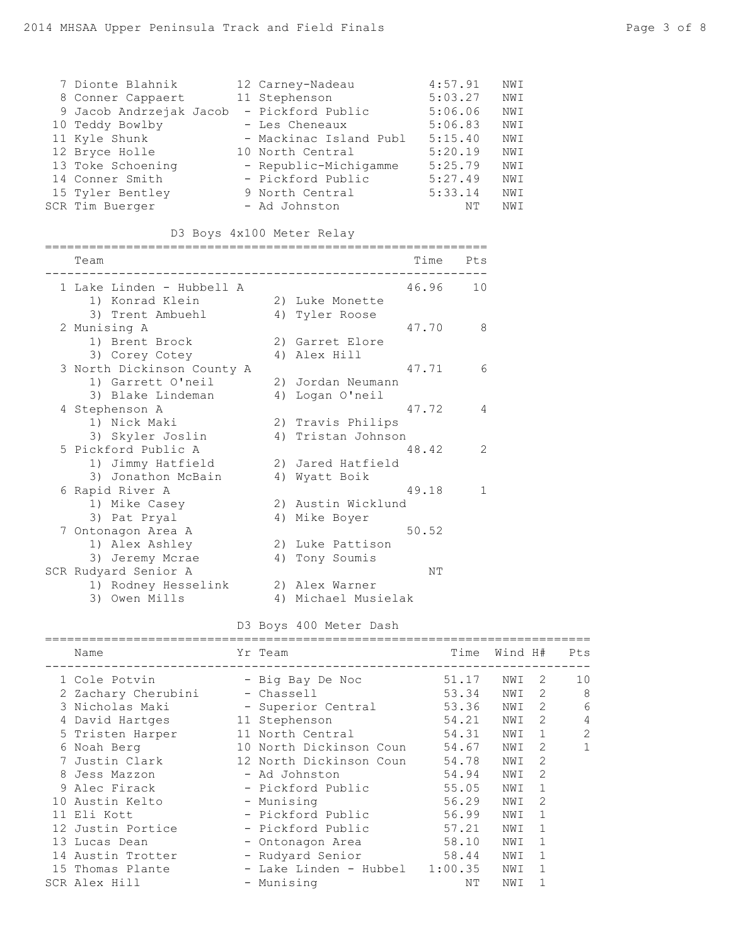| 7 Dionte Blahnik        | 12 Carney-Nadeau       | 4:57.91 | NWI |
|-------------------------|------------------------|---------|-----|
| 8 Conner Cappaert       | 11 Stephenson          | 5:03.27 | NWI |
| 9 Jacob Andrzejak Jacob | - Pickford Public      | 5:06.06 | NWI |
| 10 Teddy Bowlby         | - Les Cheneaux         | 5:06.83 | NWI |
| 11 Kyle Shunk           | - Mackinac Island Publ | 5:15.40 | NWI |
| 12 Bryce Holle          | 10 North Central       | 5:20.19 | NWI |
| 13 Toke Schoening       | - Republic-Michigamme  | 5:25.79 | NWI |
| 14 Conner Smith         | - Pickford Public      | 5:27.49 | NWI |
| 15 Tyler Bentley        | 9 North Central        | 5:33.14 | NWI |
| SCR Tim Buerger         | - Ad Johnston          | NΤ      | NWI |

## D3 Boys 4x100 Meter Relay

|   | Team                       |    | Time<br>Pts             |  |
|---|----------------------------|----|-------------------------|--|
|   | 1 Lake Linden - Hubbell A  |    | 46.96<br>10             |  |
|   | 1) Konrad Klein            |    | 2) Luke Monette         |  |
|   | 3) Trent Ambuehl           |    | 4) Tyler Roose          |  |
|   | 2 Munising A               |    | 47.70<br>8              |  |
|   | 1) Brent Brock             |    | 2) Garret Elore         |  |
|   | 3) Corey Cotey             |    | 4) Alex Hill            |  |
|   | 3 North Dickinson County A |    | 47.71<br>6              |  |
|   | 1) Garrett O'neil          |    | 2) Jordan Neumann       |  |
|   | 3) Blake Lindeman          |    | 4) Logan O'neil         |  |
|   | 4 Stephenson A             |    | 47.72<br>4              |  |
|   | 1) Nick Maki               |    | 2) Travis Philips       |  |
|   | 3) Skyler Joslin           |    | 4) Tristan Johnson      |  |
|   | 5 Pickford Public A        |    | 48.42<br>$\overline{2}$ |  |
|   | 1) Jimmy Hatfield          |    | 2) Jared Hatfield       |  |
|   | 3) Jonathon McBain         |    | 4) Wyatt Boik           |  |
|   | 6 Rapid River A            |    | 49.18<br>1              |  |
|   | 1) Mike Casey              |    | 2) Austin Wicklund      |  |
|   | 3) Pat Pryal               |    | 4) Mike Boyer           |  |
| 7 | Ontonagon Area A           |    | 50.52                   |  |
|   | 1) Alex Ashley             |    | 2) Luke Pattison        |  |
|   | 3) Jeremy Mcrae            |    | 4) Tony Soumis          |  |
|   | SCR Rudyard Senior A       |    | NΤ                      |  |
|   | 1) Rodney Hesselink        |    | 2) Alex Warner          |  |
|   | 3) Owen Mills              | 4) | Michael Musielak        |  |
|   |                            |    |                         |  |

#### D3 Boys 400 Meter Dash

| Name |                                                                                                                                                                                                                                                                                                     | Time                                                                                                                                                                                                                                                                                                          |                                             |                | Pts     |
|------|-----------------------------------------------------------------------------------------------------------------------------------------------------------------------------------------------------------------------------------------------------------------------------------------------------|---------------------------------------------------------------------------------------------------------------------------------------------------------------------------------------------------------------------------------------------------------------------------------------------------------------|---------------------------------------------|----------------|---------|
|      |                                                                                                                                                                                                                                                                                                     | 51.17                                                                                                                                                                                                                                                                                                         | NWI                                         | 2              | 10      |
|      |                                                                                                                                                                                                                                                                                                     | 53.34                                                                                                                                                                                                                                                                                                         | NWI                                         | 2              | 8       |
|      |                                                                                                                                                                                                                                                                                                     | 53.36                                                                                                                                                                                                                                                                                                         | NWI                                         | 2              | 6       |
|      |                                                                                                                                                                                                                                                                                                     | 54.21                                                                                                                                                                                                                                                                                                         | NWI                                         | 2              | 4       |
|      |                                                                                                                                                                                                                                                                                                     | 54.31                                                                                                                                                                                                                                                                                                         | NWI                                         | $\mathbf{1}$   | 2       |
|      |                                                                                                                                                                                                                                                                                                     | 54.67                                                                                                                                                                                                                                                                                                         | NWI                                         | 2              | 1       |
|      |                                                                                                                                                                                                                                                                                                     | 54.78                                                                                                                                                                                                                                                                                                         | NWI                                         | 2              |         |
|      |                                                                                                                                                                                                                                                                                                     | 54.94                                                                                                                                                                                                                                                                                                         | NWI                                         | $\mathcal{L}$  |         |
|      |                                                                                                                                                                                                                                                                                                     | 55.05                                                                                                                                                                                                                                                                                                         | NWI                                         | 1              |         |
|      |                                                                                                                                                                                                                                                                                                     | 56.29                                                                                                                                                                                                                                                                                                         | NWI                                         | 2              |         |
|      |                                                                                                                                                                                                                                                                                                     | 56.99                                                                                                                                                                                                                                                                                                         | NWI                                         | $\overline{1}$ |         |
|      |                                                                                                                                                                                                                                                                                                     | 57.21                                                                                                                                                                                                                                                                                                         | NWI                                         | $\mathbf{1}$   |         |
|      |                                                                                                                                                                                                                                                                                                     | 58.10                                                                                                                                                                                                                                                                                                         | NWI                                         | 1              |         |
|      |                                                                                                                                                                                                                                                                                                     |                                                                                                                                                                                                                                                                                                               | NWI                                         | 1              |         |
|      |                                                                                                                                                                                                                                                                                                     |                                                                                                                                                                                                                                                                                                               | NWI                                         | -1             |         |
|      |                                                                                                                                                                                                                                                                                                     | NΤ                                                                                                                                                                                                                                                                                                            | NWI                                         |                |         |
|      | 1 Cole Potvin<br>2 Zachary Cherubini<br>3 Nicholas Maki<br>4 David Hartges<br>5 Tristen Harper<br>6 Noah Berg<br>7 Justin Clark<br>8 Jess Mazzon<br>9 Alec Firack<br>10 Austin Kelto<br>11 Eli Kott<br>12 Justin Portice<br>13 Lucas Dean<br>14 Austin Trotter<br>15 Thomas Plante<br>SCR Alex Hill | Yr Team<br>- Big Bay De Noc<br>- Chassell<br>- Superior Central<br>11 Stephenson<br>11 North Central<br>12 North Dickinson Coun<br>- Ad Johnston<br>- Pickford Public<br>- Munising<br>- Pickford Public<br>- Pickford Public<br>- Ontonagon Area<br>- Rudyard Senior<br>- Lake Linden - Hubbel<br>- Munising | 10 North Dickinson Coun<br>58.44<br>1:00.35 |                | Wind H# |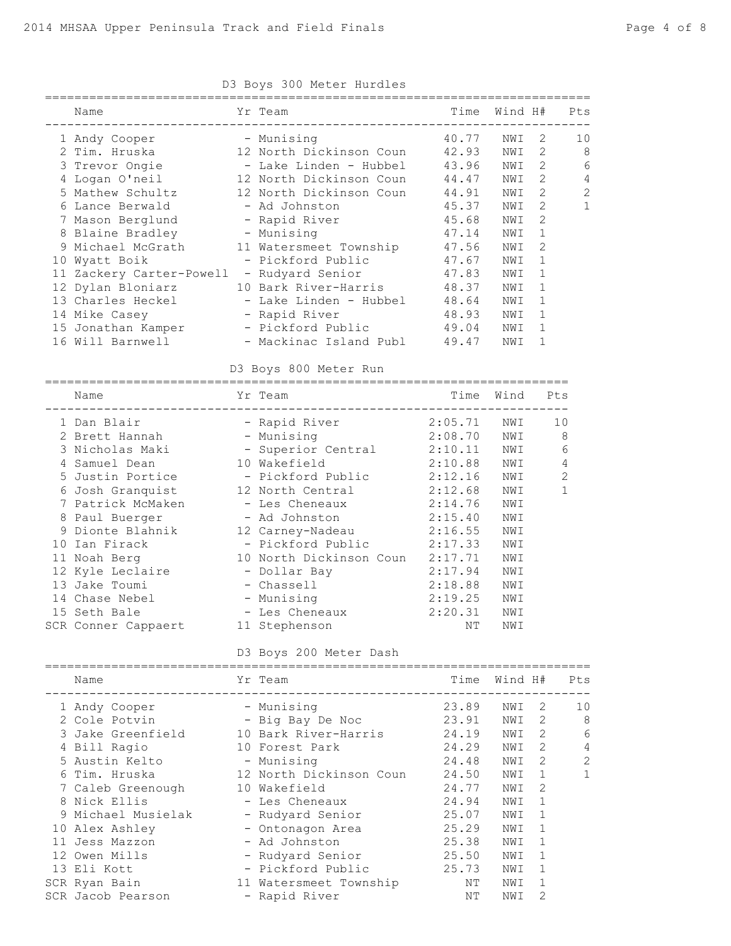| D3 Boys 300 Meter Hurdles |  |                                            |       |         |              |                |  |
|---------------------------|--|--------------------------------------------|-------|---------|--------------|----------------|--|
| Name                      |  | Yr Team                                    | Time  | Wind H# |              | Pts            |  |
| 1 Andy Cooper             |  | - Munising                                 | 40.77 | NWI     | 2            | 10             |  |
| 2 Tim. Hruska             |  | 12 North Dickinson Coun 42.93              |       | NWI     | 2            | 8              |  |
| 3 Trevor Ongie            |  | - Lake Linden - Hubbel 43.96               |       | NWI     | 2            | 6              |  |
| 4 Logan O'neil            |  | 12 North Dickinson Coun 44.47              |       | NWI     | 2            | 4              |  |
| 5 Mathew Schultz          |  | 12 North Dickinson Coun 44.91              |       | NWI     | 2            | $\overline{2}$ |  |
| 6 Lance Berwald           |  | - Ad Johnston                              | 45.37 | NWI     | 2            | 1              |  |
| 7 Mason Berglund          |  | - Rapid River                              | 45.68 | NWI     | 2            |                |  |
| 8 Blaine Bradley          |  | - Munising                                 | 47.14 | NWI     | $\mathbf{1}$ |                |  |
| 9 Michael McGrath         |  | 11 Watersmeet Township                     | 47.56 | NWI     | 2            |                |  |
| 10 Wyatt Boik             |  | - Pickford Public                          | 47.67 | NWI     | 1            |                |  |
| 11 Zackery Carter-Powell  |  | - Rudyard Senior                           | 47.83 | NWI     | 1            |                |  |
| 12 Dylan Bloniarz         |  | 10 Bark River-Harris                       | 48.37 | NWI     | $\mathbf{1}$ |                |  |
| 13 Charles Heckel         |  | - Lake Linden - Hubbel                     | 48.64 | NWI     | 1            |                |  |
| 14 Mike Casey             |  | - Rapid River                              | 48.93 | NWI     | $\mathbf{1}$ |                |  |
|                           |  | 15 Jonathan Kamper - Pickford Public 49.04 |       | NWI     | 1            |                |  |
| 16 Will Barnwell          |  | - Mackinac Island Publ                     | 49.47 | NWI     |              |                |  |
|                           |  |                                            |       |         |              |                |  |

D3 Boys 300 Meter Hurdles

D3 Boys 800 Meter Run

| Name                | Yr Team<br>------------------- | Time    | Wind | Pts |
|---------------------|--------------------------------|---------|------|-----|
| 1 Dan Blair         | - Rapid River                  | 2:05.71 | NWI  | 10  |
| 2 Brett Hannah      | - Munising                     | 2:08.70 | NWI  | 8   |
| 3 Nicholas Maki     | - Superior Central             | 2:10.11 | NWI  | 6   |
| 4 Samuel Dean       | 10 Wakefield                   | 2:10.88 | NWI  | 4   |
| 5 Justin Portice    | - Pickford Public              | 2:12.16 | NWI  | 2   |
| 6 Josh Granquist    | 12 North Central               | 2:12.68 | NWI  | 1   |
| 7 Patrick McMaken   | - Les Cheneaux                 | 2:14.76 | NWI  |     |
| 8 Paul Buerger      | - Ad Johnston                  | 2:15.40 | NWI  |     |
| 9 Dionte Blahnik    | 12 Carney-Nadeau               | 2:16.55 | NWI  |     |
| 10 Ian Firack       | - Pickford Public              | 2:17.33 | NWI  |     |
| 11 Noah Berg        | 10 North Dickinson Coun        | 2:17.71 | NWI  |     |
| 12 Kyle Leclaire    | - Dollar Bay                   | 2:17.94 | NWI  |     |
| 13 Jake Toumi       | - Chassell                     | 2:18.88 | NWI  |     |
| 14 Chase Nebel      | - Munising                     | 2:19.25 | NWI  |     |
| 15 Seth Bale        | - Les Cheneaux                 | 2:20.31 | NWI  |     |
| SCR Conner Cappaert | 11 Stephenson                  | NΤ      | NWI  |     |

D3 Boys 200 Meter Dash

| Name               | Yr Team                 | Time  | Wind H# |                | Pts          |
|--------------------|-------------------------|-------|---------|----------------|--------------|
| 1 Andy Cooper      | - Munising              | 23.89 | NWI     | 2              | 10           |
| 2 Cole Potvin      | - Big Bay De Noc        | 23.91 | NWI     | $\mathcal{L}$  | 8            |
| 3 Jake Greenfield  | 10 Bark River-Harris    | 24.19 | NWI     | 2              | 6            |
| 4 Bill Ragio       | 10 Forest Park          | 24.29 | NWI     | 2              | 4            |
| 5 Austin Kelto     | - Munising              | 24.48 | NWI     | $\mathcal{L}$  | 2            |
| 6 Tim. Hruska      | 12 North Dickinson Coun | 24.50 | NWI     | $\overline{1}$ | $\mathbf{1}$ |
| 7 Caleb Greenough  | 10 Wakefield            | 24.77 | NWI     | 2              |              |
| 8 Nick Ellis       | - Les Cheneaux          | 24.94 | NWI     | 1              |              |
| 9 Michael Musielak | - Rudyard Senior        | 25.07 | NWI     | $\overline{1}$ |              |
| 10 Alex Ashley     | - Ontonagon Area        | 25.29 | NWI     | $\overline{1}$ |              |
| 11 Jess Mazzon     | - Ad Johnston           | 25.38 | NWI     | $\overline{1}$ |              |
| 12 Owen Mills      | - Rudyard Senior        | 25.50 | NWI     | $\overline{1}$ |              |
| 13 Eli Kott        | - Pickford Public       | 25.73 | NWI     | $\mathbf{1}$   |              |
| SCR Ryan Bain      | 11 Watersmeet Township  | ΝT    | NWI     |                |              |
| SCR Jacob Pearson  | - Rapid River           | NΤ    | NWI     | 2              |              |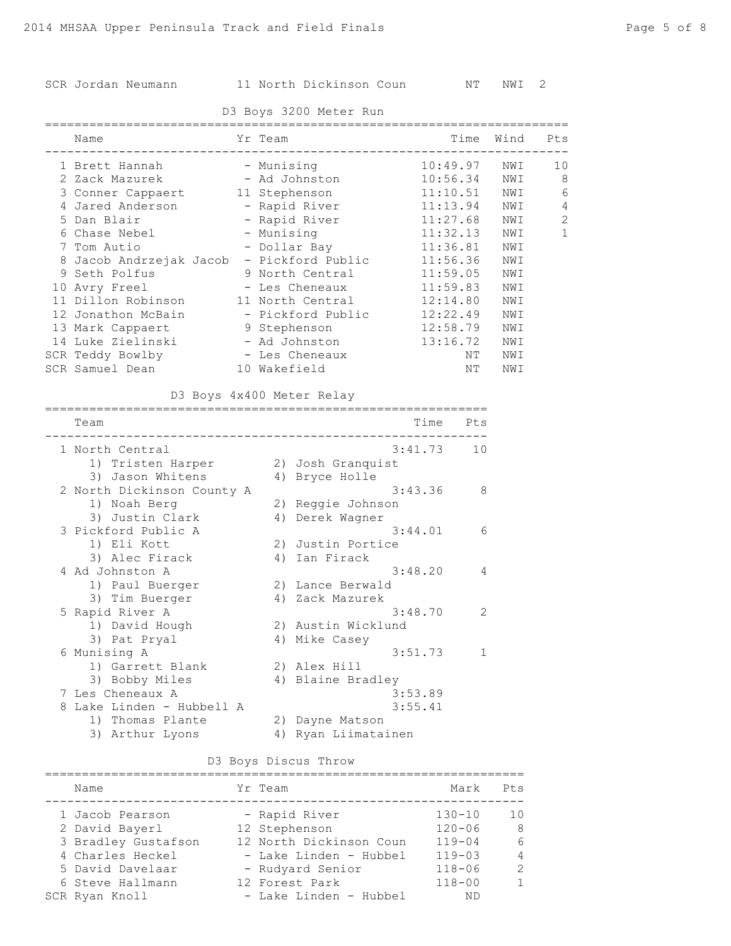## SCR Jordan Neumann 11 North Dickinson Coun NT NWI 2

### D3 Boys 3200 Meter Run

| Name                    | Yr Team           |          | Time Wind | Pts |
|-------------------------|-------------------|----------|-----------|-----|
| 1 Brett Hannah          | - Munising        | 10:49.97 | NWI       | 10  |
| 2 Zack Mazurek          | - Ad Johnston     | 10:56.34 | NWI       | 8   |
| 3 Conner Cappaert       | 11 Stephenson     | 11:10.51 | NWI       | 6   |
| 4 Jared Anderson        | - Rapid River     | 11:13.94 | NWI       | 4   |
| 5 Dan Blair             | - Rapid River     | 11:27.68 | NWI       | 2   |
| 6 Chase Nebel           | - Munising        | 11:32.13 | NWI       | 1   |
| 7 Tom Autio             | - Dollar Bay      | 11:36.81 | NWI       |     |
| 8 Jacob Andrzejak Jacob | - Pickford Public | 11:56.36 | NWI       |     |
| 9 Seth Polfus           | 9 North Central   | 11:59.05 | NWI       |     |
| 10 Avry Freel           | - Les Cheneaux    | 11:59.83 | NWI       |     |
| 11 Dillon Robinson      | 11 North Central  | 12:14.80 | NWI       |     |
| 12 Jonathon McBain      | - Pickford Public | 12:22.49 | NWI       |     |
| 13 Mark Cappaert        | 9 Stephenson      | 12:58.79 | NWI       |     |
| 14 Luke Zielinski       | - Ad Johnston     | 13:16.72 | NWI       |     |
| SCR Teddy Bowlby        | - Les Cheneaux    | ΝT       | NWI       |     |
| SCR Samuel Dean         | 10 Wakefield      | ΝT       | NWI       |     |

### D3 Boys 4x400 Meter Relay

|   | Team                       |    | Time<br>Pts              |
|---|----------------------------|----|--------------------------|
|   | 1 North Central            |    | 3:41.73<br>10            |
|   | 1) Tristen Harper          |    | 2) Josh Granquist        |
|   | 3) Jason Whitens           |    | 4) Bryce Holle           |
|   | 2 North Dickinson County A |    | 3:43.36<br>8             |
|   | 1) Noah Berg               |    | 2) Reggie Johnson        |
|   | 3) Justin Clark            |    | 4) Derek Wagner          |
|   | 3 Pickford Public A        |    | 3:44.01<br>6             |
|   | 1) Eli Kott                |    | 2) Justin Portice        |
|   | 3) Alec Firack             | 4) | Ian Firack               |
|   | 4 Ad Johnston A            |    | 3:48.20<br>4             |
|   | 1) Paul Buerger            |    | 2) Lance Berwald         |
|   | 3) Tim Buerger             |    | 4) Zack Mazurek          |
|   | 5 Rapid River A            |    | $\mathcal{L}$<br>3:48.70 |
|   | 1) David Hough             |    | 2) Austin Wicklund       |
|   | 3) Pat Pryal               | 4) | Mike Casey               |
|   | 6 Munising A               |    | 3:51.73<br>1             |
|   | 1) Garrett Blank           |    | 2) Alex Hill             |
|   | 3) Bobby Miles             |    | 4) Blaine Bradley        |
|   | 7 Les Cheneaux A           |    | 3:53.89                  |
| 8 | Lake Linden - Hubbell A    |    | 3:55.41                  |
|   | 1) Thomas Plante           | 2) | Dayne Matson             |
|   | 3) Arthur Lyons            | 4) | Ryan Liimatainen         |

### D3 Boys Discus Throw

| Name                |  | Yr Team                 | Mark       | Pts            |  |  |  |
|---------------------|--|-------------------------|------------|----------------|--|--|--|
| 1 Jacob Pearson     |  | - Rapid River           | $130 - 10$ | 10             |  |  |  |
| 2 David Bayerl      |  | 12 Stephenson           | $120 - 06$ | -8             |  |  |  |
| 3 Bradley Gustafson |  | 12 North Dickinson Coun | $119 - 04$ | 6              |  |  |  |
| 4 Charles Heckel    |  | - Lake Linden - Hubbel  | $119 - 03$ | $\overline{4}$ |  |  |  |
| 5 David Davelaar    |  | - Rudyard Senior        | $118 - 06$ | $\mathcal{D}$  |  |  |  |
| 6 Steve Hallmann    |  | 12 Forest Park          | $118 - 00$ | $\mathbf{1}$   |  |  |  |
| SCR Ryan Knoll      |  | - Lake Linden - Hubbel  | ΝD         |                |  |  |  |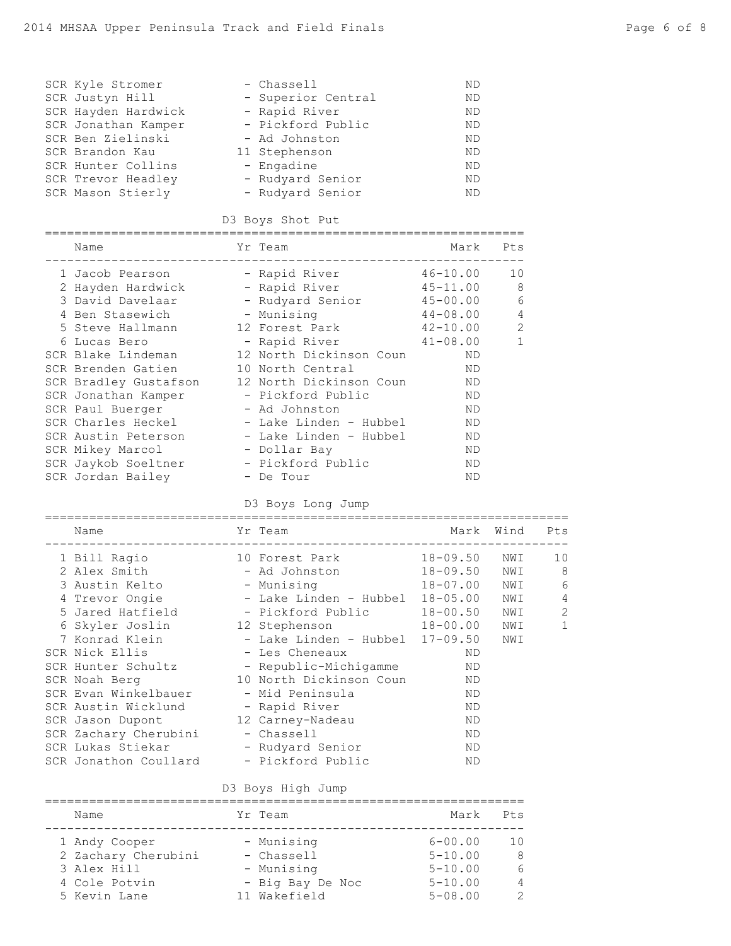| SCR Kyle Stromer<br>SCR Justyn Hill<br>SCR Hayden Hardwick - Rapid River<br>SCR Jonathan Kamper - Pickford Public<br>SCR Ben Zielinski<br>SCR Brandon Kau<br>SCR Hunter Collins - Engadine<br>SCR Trevor Headley - Rudyard Senior | - Chassell<br>- Superior Central<br>- Ad Johnston<br>11 Stephenson                                                                                                                                                                                                                                                                                                                                                                                                                      | <b>ND</b><br>ND.<br><b>ND</b><br><b>ND</b><br><b>ND</b><br><b>ND</b><br><b>ND</b><br><b>ND</b><br>ND.  |                                        |
|-----------------------------------------------------------------------------------------------------------------------------------------------------------------------------------------------------------------------------------|-----------------------------------------------------------------------------------------------------------------------------------------------------------------------------------------------------------------------------------------------------------------------------------------------------------------------------------------------------------------------------------------------------------------------------------------------------------------------------------------|--------------------------------------------------------------------------------------------------------|----------------------------------------|
| SCR Mason Stierly                                                                                                                                                                                                                 | - Rudyard Senior<br>D3 Boys Shot Put                                                                                                                                                                                                                                                                                                                                                                                                                                                    |                                                                                                        |                                        |
| Name                                                                                                                                                                                                                              | Yr Team and the Second State of the Second State of the Second State of the Second State of the Second State o                                                                                                                                                                                                                                                                                                                                                                          | Mark                                                                                                   | Pts                                    |
| 2 Hayden Hardwick - Rapid River<br>6 Lucas Bero<br>SCR Brenden Gatien<br>SCR Jonathan Kamper - Pickford Public<br>SCR Paul Buerger<br>SCR Mikey Marcol - Dollar Bay<br>SCR Jaykob Soeltner - Pickford Public<br>SCR Jordan Bailey | 1 Jacob Pearson - Rapid River 46-10.00<br>3 David Davelaar - Rudyard Senior 15-00.00<br>4 Ben Stasewich - Munising 144-08.00<br>5 Steve Hallmann                12 Forest Park                     42-10.00<br>- Rapid River 41-08.00<br>SCR Blake Lindeman 12 North Dickinson Coun<br>10 North Central<br>SCR Bradley Gustafson 12 North Dickinson Coun<br>- Ad Johnston<br>SCR Charles Heckel - Lake Linden - Hubbel<br>SCR Austin Peterson       - Lake Linden - Hubbel<br>- De Tour | $45 - 11.00$<br>ND<br>ND<br>ND<br>ND<br>ND.<br><b>ND</b><br>ND.<br><b>ND</b><br><b>ND</b><br><b>ND</b> | 10<br>8<br>6<br>4<br>2<br>$\mathbf{1}$ |

# D3 Boys Long Jump

| Name                              | Yr Team<br>_______________________________ |              | Mark Wind | Pts            |
|-----------------------------------|--------------------------------------------|--------------|-----------|----------------|
| 1 Bill Ragio                      | 10 Forest Park                             | 18-09.50     | NWI       | 10             |
| 2 Alex Smith                      | - Ad Johnston                              | $18 - 09.50$ | NWI       | 8              |
| 3 Austin Kelto                    | - Munising                                 | 18-07.00     | NWI       | 6              |
| 4 Trevor Ongie                    | - Lake Linden - Hubbel                     | 18-05.00     | NWI       | $\overline{4}$ |
| 5 Jared Hatfield                  | - Pickford Public                          | 18-00.50     | NWI       | $\overline{2}$ |
| 6 Skyler Joslin                   | 12 Stephenson                              | 18-00.00     | NWI       | $\mathbf{1}$   |
| 7 Konrad Klein                    | - Lake Linden - Hubbel                     | $17 - 09.50$ | NWI       |                |
| SCR Nick Ellis                    | - Les Cheneaux                             | ND           |           |                |
| SCR Hunter Schultz                | - Republic-Michigamme                      | ΝD           |           |                |
| SCR Noah Berg                     | 10 North Dickinson Coun                    | ND           |           |                |
| SCR Evan Winkelbauer              | - Mid Peninsula                            | ND           |           |                |
| SCR Austin Wicklund - Rapid River |                                            | ND           |           |                |
| SCR Jason Dupont                  | 12 Carney-Nadeau                           | ND.          |           |                |
| SCR Zachary Cherubini             | - Chassell                                 | ND.          |           |                |
| SCR Lukas Stiekar                 | - Rudyard Senior                           | ND.          |           |                |
| SCR Jonathon Coullard             | - Pickford Public                          | <b>ND</b>    |           |                |

## D3 Boys High Jump

|  | Name                |  | Yr Team          | Mark        | Pts           |  |  |  |  |
|--|---------------------|--|------------------|-------------|---------------|--|--|--|--|
|  | 1 Andy Cooper       |  | - Munising       | $6 - 00.00$ | 10            |  |  |  |  |
|  | 2 Zachary Cherubini |  | - Chassell       | $5 - 10.00$ | -8            |  |  |  |  |
|  | 3 Alex Hill         |  | - Munising       | $5 - 10.00$ | 6             |  |  |  |  |
|  | 4 Cole Potvin       |  | - Big Bay De Noc | $5 - 10.00$ | 4             |  |  |  |  |
|  | 5 Kevin Lane        |  | 11 Wakefield     | $5 - 08.00$ | $\mathcal{P}$ |  |  |  |  |